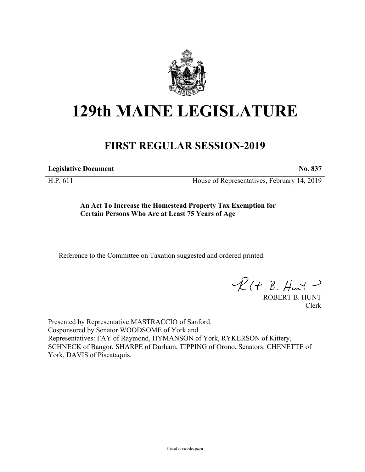

## **129th MAINE LEGISLATURE**

## **FIRST REGULAR SESSION-2019**

**Legislative Document No. 837**

H.P. 611 House of Representatives, February 14, 2019

**An Act To Increase the Homestead Property Tax Exemption for Certain Persons Who Are at Least 75 Years of Age**

Reference to the Committee on Taxation suggested and ordered printed.

 $R(H B. H<sup>u</sup>)$ 

ROBERT B. HUNT Clerk

Presented by Representative MASTRACCIO of Sanford. Cosponsored by Senator WOODSOME of York and Representatives: FAY of Raymond, HYMANSON of York, RYKERSON of Kittery, SCHNECK of Bangor, SHARPE of Durham, TIPPING of Orono, Senators: CHENETTE of York, DAVIS of Piscataquis.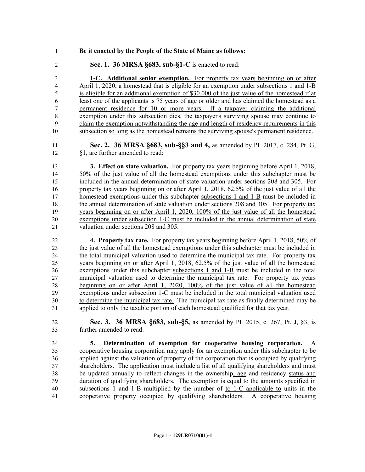- **Be it enacted by the People of the State of Maine as follows:**
- **Sec. 1. 36 MRSA §683, sub-§1-C** is enacted to read:

 **1-C. Additional senior exemption.** For property tax years beginning on or after April 1, 2020, a homestead that is eligible for an exemption under subsections 1 and 1-B is eligible for an additional exemption of \$30,000 of the just value of the homestead if at least one of the applicants is 75 years of age or older and has claimed the homestead as a permanent residence for 10 or more years. If a taxpayer claiming the additional exemption under this subsection dies, the taxpayer's surviving spouse may continue to claim the exemption notwithstanding the age and length of residency requirements in this subsection so long as the homestead remains the surviving spouse's permanent residence.

 **Sec. 2. 36 MRSA §683, sub-§§3 and 4,** as amended by PL 2017, c. 284, Pt. G, §1, are further amended to read:

 **3. Effect on state valuation.** For property tax years beginning before April 1, 2018, 50% of the just value of all the homestead exemptions under this subchapter must be included in the annual determination of state valuation under sections 208 and 305. For property tax years beginning on or after April 1, 2018, 62.5% of the just value of all the 17 homestead exemptions under this subchapter subsections 1 and 1-B must be included in the annual determination of state valuation under sections 208 and 305. For property tax years beginning on or after April 1, 2020, 100% of the just value of all the homestead exemptions under subsection 1-C must be included in the annual determination of state valuation under sections 208 and 305.

 **4. Property tax rate.** For property tax years beginning before April 1, 2018, 50% of the just value of all the homestead exemptions under this subchapter must be included in the total municipal valuation used to determine the municipal tax rate. For property tax years beginning on or after April 1, 2018, 62.5% of the just value of all the homestead exemptions under this subchapter subsections 1 and 1-B must be included in the total municipal valuation used to determine the municipal tax rate. For property tax years beginning on or after April 1, 2020, 100% of the just value of all the homestead exemptions under subsection 1-C must be included in the total municipal valuation used to determine the municipal tax rate. The municipal tax rate as finally determined may be applied to only the taxable portion of each homestead qualified for that tax year.

 **Sec. 3. 36 MRSA §683, sub-§5,** as amended by PL 2015, c. 267, Pt. J, §3, is further amended to read:

 **5. Determination of exemption for cooperative housing corporation.** A cooperative housing corporation may apply for an exemption under this subchapter to be applied against the valuation of property of the corporation that is occupied by qualifying shareholders. The application must include a list of all qualifying shareholders and must be updated annually to reflect changes in the ownership, age and residency status and duration of qualifying shareholders. The exemption is equal to the amounts specified in subsections 1 and 1-B multiplied by the number of to 1-C applicable to units in the cooperative property occupied by qualifying shareholders. A cooperative housing